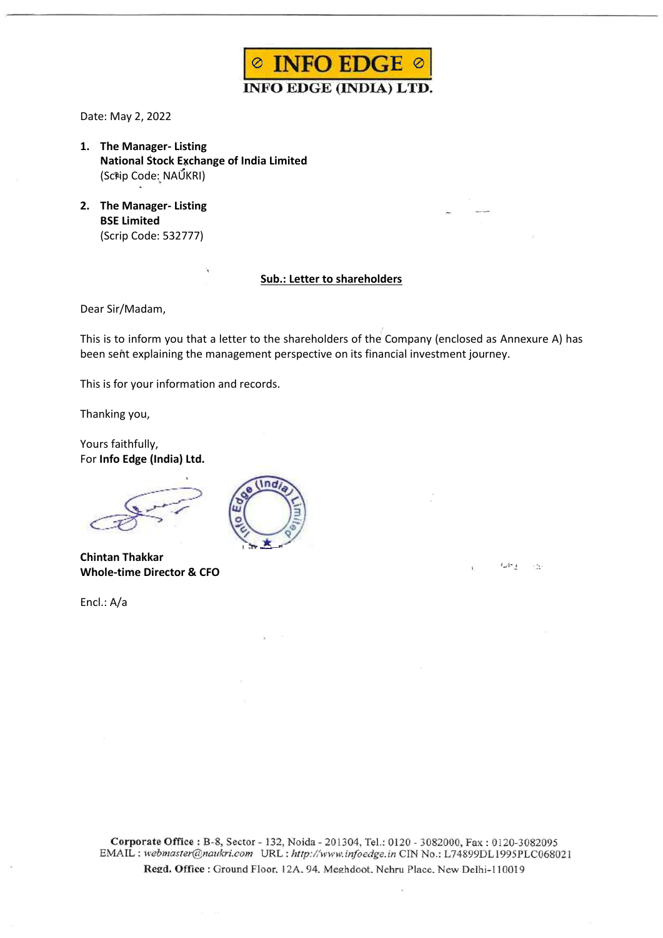

Date: May 2, 2022

- **1. The Manager- Listing National Stock Exchange of India Limited** (Scrip Code: NAUKRI)
- **2. The Manager- Listing BSE Limited** (Scrip Code: 532777)

## **Sub.: Letter to shareholders**

Dear Sir/Madam,

This is to inform you that a letter to the shareholders of the Company (enclosed as Annexure A) has been sent explaining the management perspective on its financial investment journey.

ع -11 با

 $\sim$  74.

This is for your information and records.

Thanking you,

Yours faithfully, For **Info Edge (India) Ltd.**

**Chintan Thakkar Whole-time Director & CFO**

Encl.: A/a



Corporate Office: B-8, Sector - 132, Noida - 201304, Tel.: 0120 - 3082000, Fax: 0120-3082095 EMAIL : webmaster@naukri.com URL : http://www.infoedge.in CIN No.: L74899DL1995PLC068021 Regd. Office: Ground Floor, 12A, 94, Meghdoot, Nehru Place, New Delhi-110019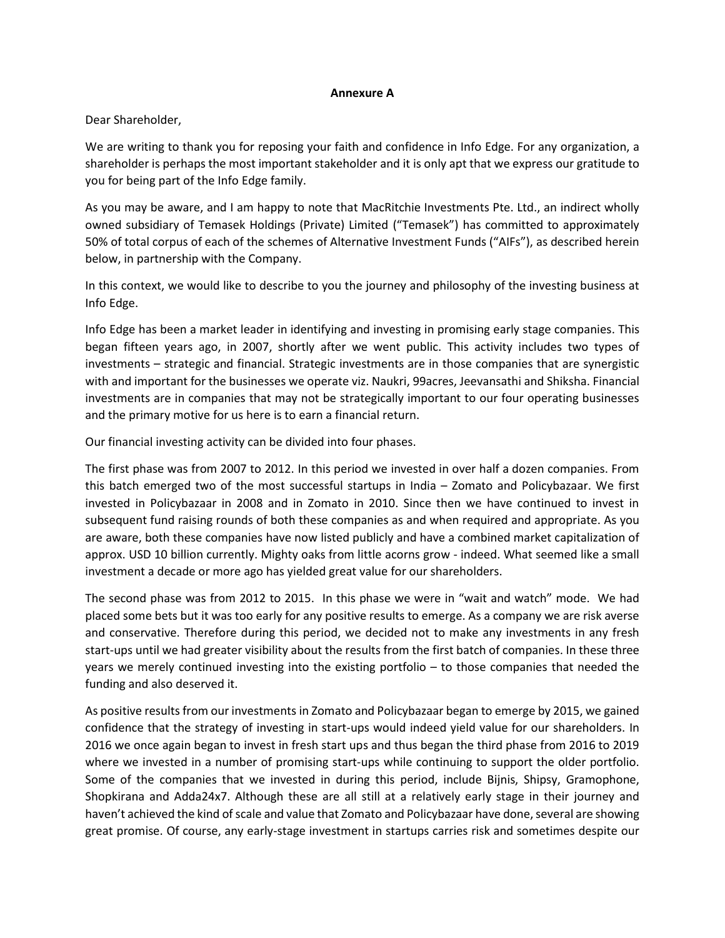## **Annexure A**

Dear Shareholder,

We are writing to thank you for reposing your faith and confidence in Info Edge. For any organization, a shareholder is perhaps the most important stakeholder and it is only apt that we express our gratitude to you for being part of the Info Edge family.

As you may be aware, and I am happy to note that MacRitchie Investments Pte. Ltd., an indirect wholly owned subsidiary of Temasek Holdings (Private) Limited ("Temasek") has committed to approximately 50% of total corpus of each of the schemes of Alternative Investment Funds ("AIFs"), as described herein below, in partnership with the Company.

In this context, we would like to describe to you the journey and philosophy of the investing business at Info Edge.

Info Edge has been a market leader in identifying and investing in promising early stage companies. This began fifteen years ago, in 2007, shortly after we went public. This activity includes two types of investments – strategic and financial. Strategic investments are in those companies that are synergistic with and important for the businesses we operate viz. Naukri, 99acres, Jeevansathi and Shiksha. Financial investments are in companies that may not be strategically important to our four operating businesses and the primary motive for us here is to earn a financial return.

Our financial investing activity can be divided into four phases.

The first phase was from 2007 to 2012. In this period we invested in over half a dozen companies. From this batch emerged two of the most successful startups in India – Zomato and Policybazaar. We first invested in Policybazaar in 2008 and in Zomato in 2010. Since then we have continued to invest in subsequent fund raising rounds of both these companies as and when required and appropriate. As you are aware, both these companies have now listed publicly and have a combined market capitalization of approx. USD 10 billion currently. Mighty oaks from little acorns grow - indeed. What seemed like a small investment a decade or more ago has yielded great value for our shareholders.

The second phase was from 2012 to 2015. In this phase we were in "wait and watch" mode. We had placed some bets but it was too early for any positive results to emerge. As a company we are risk averse and conservative. Therefore during this period, we decided not to make any investments in any fresh start-ups until we had greater visibility about the results from the first batch of companies. In these three years we merely continued investing into the existing portfolio – to those companies that needed the funding and also deserved it.

As positive results from our investments in Zomato and Policybazaar began to emerge by 2015, we gained confidence that the strategy of investing in start-ups would indeed yield value for our shareholders. In 2016 we once again began to invest in fresh start ups and thus began the third phase from 2016 to 2019 where we invested in a number of promising start-ups while continuing to support the older portfolio. Some of the companies that we invested in during this period, include Bijnis, Shipsy, Gramophone, Shopkirana and Adda24x7. Although these are all still at a relatively early stage in their journey and haven't achieved the kind of scale and value that Zomato and Policybazaar have done, several are showing great promise. Of course, any early-stage investment in startups carries risk and sometimes despite our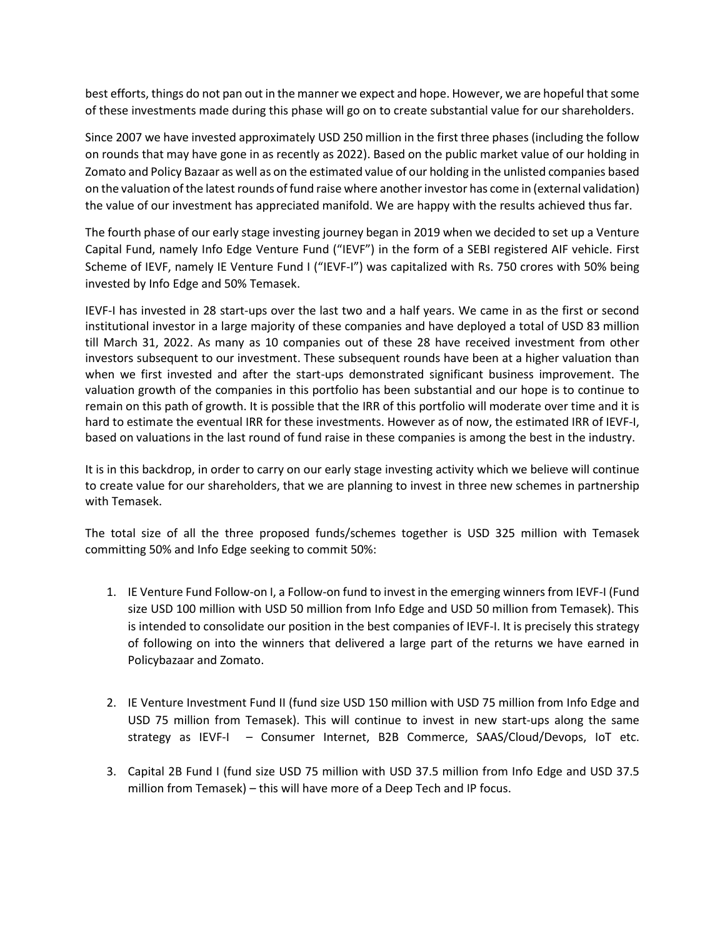best efforts, things do not pan out in the manner we expect and hope. However, we are hopeful that some of these investments made during this phase will go on to create substantial value for our shareholders.

Since 2007 we have invested approximately USD 250 million in the first three phases (including the follow on rounds that may have gone in as recently as 2022). Based on the public market value of our holding in Zomato and Policy Bazaar as well as on the estimated value of our holding in the unlisted companies based on the valuation of the latest rounds of fund raise where another investor has come in (external validation) the value of our investment has appreciated manifold. We are happy with the results achieved thus far.

The fourth phase of our early stage investing journey began in 2019 when we decided to set up a Venture Capital Fund, namely Info Edge Venture Fund ("IEVF") in the form of a SEBI registered AIF vehicle. First Scheme of IEVF, namely IE Venture Fund I ("IEVF-I") was capitalized with Rs. 750 crores with 50% being invested by Info Edge and 50% Temasek.

IEVF-I has invested in 28 start-ups over the last two and a half years. We came in as the first or second institutional investor in a large majority of these companies and have deployed a total of USD 83 million till March 31, 2022. As many as 10 companies out of these 28 have received investment from other investors subsequent to our investment. These subsequent rounds have been at a higher valuation than when we first invested and after the start-ups demonstrated significant business improvement. The valuation growth of the companies in this portfolio has been substantial and our hope is to continue to remain on this path of growth. It is possible that the IRR of this portfolio will moderate over time and it is hard to estimate the eventual IRR for these investments. However as of now, the estimated IRR of IEVF-I, based on valuations in the last round of fund raise in these companies is among the best in the industry.

It is in this backdrop, in order to carry on our early stage investing activity which we believe will continue to create value for our shareholders, that we are planning to invest in three new schemes in partnership with Temasek.

The total size of all the three proposed funds/schemes together is USD 325 million with Temasek committing 50% and Info Edge seeking to commit 50%:

- 1. IE Venture Fund Follow-on I, a Follow-on fund to invest in the emerging winners from IEVF-I (Fund size USD 100 million with USD 50 million from Info Edge and USD 50 million from Temasek). This is intended to consolidate our position in the best companies of IEVF-I. It is precisely this strategy of following on into the winners that delivered a large part of the returns we have earned in Policybazaar and Zomato.
- 2. IE Venture Investment Fund II (fund size USD 150 million with USD 75 million from Info Edge and USD 75 million from Temasek). This will continue to invest in new start-ups along the same strategy as IEVF-I – Consumer Internet, B2B Commerce, SAAS/Cloud/Devops, IoT etc.
- 3. Capital 2B Fund I (fund size USD 75 million with USD 37.5 million from Info Edge and USD 37.5 million from Temasek) – this will have more of a Deep Tech and IP focus.